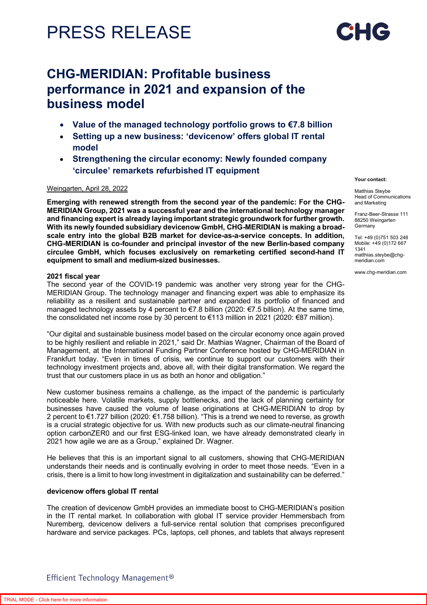

# **CHG-MERIDIAN: Profitable business performance in 2021 and expansion of the business model**

- **Value of the managed technology portfolio grows to €7.8 billion**
- **Setting up a new business: 'devicenow' offers global IT rental model**
- **Strengthening the circular economy: Newly founded company 'circulee' remarkets refurbished IT equipment**

## Weingarten, April 28, 2022

**Emerging with renewed strength from the second year of the pandemic: For the CHG-MERIDIAN Group, 2021 was a successful year and the international technology manager and financing expert is already laying important strategic groundwork for further growth. With its newly founded subsidiary devicenow GmbH, CHG-MERIDIAN is making a broadscale entry into the global B2B market for device-as-a-service concepts. In addition, CHG-MERIDIAN is co-founder and principal investor of the new Berlin-based company circulee GmbH, which focuses exclusively on remarketing certified second-hand IT equipment to small and medium-sized businesses.** 

### **2021 fiscal year**

The second year of the COVID-19 pandemic was another very strong year for the CHG-MERIDIAN Group. The technology manager and financing expert was able to emphasize its reliability as a resilient and sustainable partner and expanded its portfolio of financed and managed technology assets by 4 percent to €7.8 billion (2020: €7.5 billion). At the same time, the consolidated net income rose by 30 percent to €113 million in 2021 (2020: €87 million).

"Our digital and sustainable business model based on the circular economy once again proved to be highly resilient and reliable in 2021," said Dr. Mathias Wagner, Chairman of the Board of Management, at the International Funding Partner Conference hosted by CHG-MERIDIAN in Frankfurt today. "Even in times of crisis, we continue to support our customers with their technology investment projects and, above all, with their digital transformation. We regard the trust that our customers place in us as both an honor and obligation."

New customer business remains a challenge, as the impact of the pandemic is particularly noticeable here. Volatile markets, supply bottlenecks, and the lack of planning certainty for businesses have caused the volume of lease originations at CHG-MERIDIAN to drop by 2 percent to €1.727 billion (2020: €1.758 billion). "This is a trend we need to reverse, as growth is a crucial strategic objective for us. With new products such as our climate-neutral financing option carbonZER0 and our first ESG-linked loan, we have already demonstrated clearly in 2021 how agile we are as a Group," explained Dr. Wagner.

He believes that this is an important signal to all customers, showing that CHG-MERIDIAN understands their needs and is continually evolving in order to meet those needs. "Even in a crisis, there is a limit to how long investment in digitalization and sustainability can be deferred."

## **devicenow offers global IT rental**

The creation of devicenow GmbH provides an immediate boost to CHG-MERIDIAN's position in the IT rental market. In collaboration with global IT service provider Hemmersbach from Nuremberg, devicenow delivers a full-service rental solution that comprises preconfigured hardware and service packages. PCs, laptops, cell phones, and tablets that always represent

#### **Your contact:**

Matthias Steybe Head of Communications and Marketing

Franz-Beer-Strasse 111 88250 Weingarten Germany

Tel: +49 (0)751 503 248 Mobile: +49 (0)172 667 1341 matthias.steybe@chgmeridian.com

www.chg-meridian.com